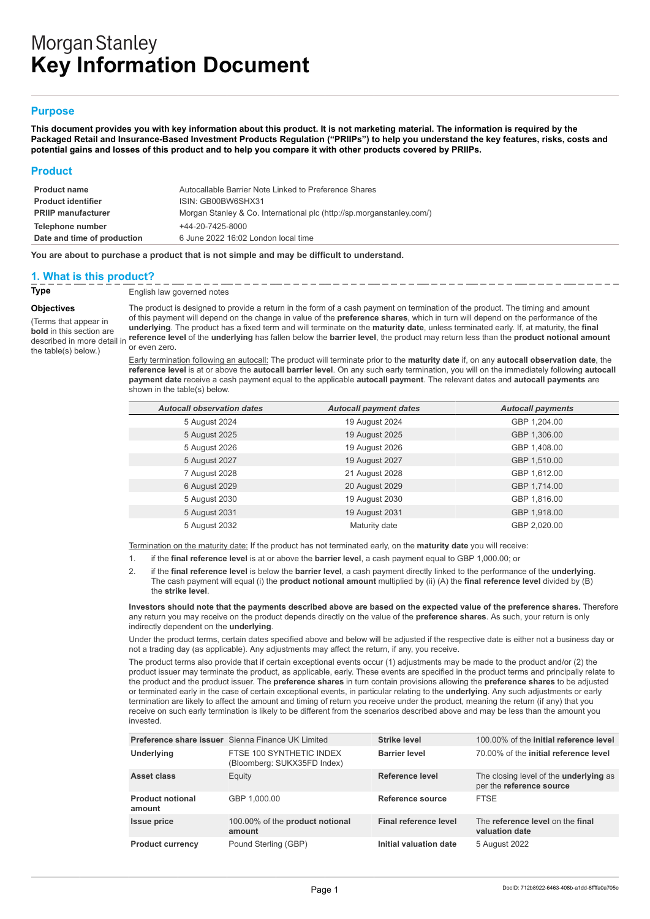# **Morgan Stanley Key Information Document**

## **Purpose**

**This document provides you with key information about this product. It is not marketing material. The information is required by the Packaged Retail and Insurance-Based Investment Products Regulation ("PRIIPs") to help you understand the key features, risks, costs and potential gains and losses of this product and to help you compare it with other products covered by PRIIPs.**

#### **Product**

| <b>Product name</b>         | Autocallable Barrier Note Linked to Preference Shares                 |
|-----------------------------|-----------------------------------------------------------------------|
| <b>Product identifier</b>   | ISIN: GB00BW6SHX31                                                    |
| <b>PRIIP manufacturer</b>   | Morgan Stanley & Co. International plc (http://sp.morganstanley.com/) |
| Telephone number            | +44-20-7425-8000                                                      |
| Date and time of production | 6 June 2022 16:02 London local time                                   |

**You are about to purchase a product that is not simple and may be difficult to understand.**

## **1. What is this product?**

**Type** English law governed notes

**Objectives**

(Terms that appear in **bold** in this section are described in more detail in the table(s) below.)

The product is designed to provide a return in the form of a cash payment on termination of the product. The timing and amount of this payment will depend on the change in value of the **preference shares**, which in turn will depend on the performance of the **underlying**. The product has a fixed term and will terminate on the **maturity date**, unless terminated early. If, at maturity, the **final reference level** of the **underlying** has fallen below the **barrier level**, the product may return less than the **product notional amount** or even zero.

Early termination following an autocall: The product will terminate prior to the **maturity date** if, on any **autocall observation date**, the **reference level** is at or above the **autocall barrier level**. On any such early termination, you will on the immediately following **autocall payment date** receive a cash payment equal to the applicable **autocall payment**. The relevant dates and **autocall payments** are shown in the table(s) below.

| <b>Autocall observation dates</b> | <b>Autocall payment dates</b> | <b>Autocall payments</b> |
|-----------------------------------|-------------------------------|--------------------------|
| 5 August 2024                     | 19 August 2024                | GBP 1,204.00             |
| 5 August 2025                     | 19 August 2025                | GBP 1,306.00             |
| 5 August 2026                     | 19 August 2026                | GBP 1,408.00             |
| 5 August 2027                     | 19 August 2027                | GBP 1,510.00             |
| 7 August 2028                     | 21 August 2028                | GBP 1,612.00             |
| 6 August 2029                     | 20 August 2029                | GBP 1,714.00             |
| 5 August 2030                     | 19 August 2030                | GBP 1,816.00             |
| 5 August 2031                     | 19 August 2031                | GBP 1,918.00             |
| 5 August 2032                     | Maturity date                 | GBP 2,020.00             |

Termination on the maturity date: If the product has not terminated early, on the **maturity date** you will receive:

- 1. if the **final reference level** is at or above the **barrier level**, a cash payment equal to GBP 1,000.00; or
- 2. if the **final reference level** is below the **barrier level**, a cash payment directly linked to the performance of the **underlying**. The cash payment will equal (i) the **product notional amount** multiplied by (ii) (A) the **final reference level** divided by (B) the **strike level**.

**Investors should note that the payments described above are based on the expected value of the preference shares.** Therefore any return you may receive on the product depends directly on the value of the **preference shares**. As such, your return is only indirectly dependent on the **underlying**.

Under the product terms, certain dates specified above and below will be adjusted if the respective date is either not a business day or not a trading day (as applicable). Any adjustments may affect the return, if any, you receive.

The product terms also provide that if certain exceptional events occur (1) adjustments may be made to the product and/or (2) the product issuer may terminate the product, as applicable, early. These events are specified in the product terms and principally relate to the product and the product issuer. The **preference shares** in turn contain provisions allowing the **preference shares** to be adjusted or terminated early in the case of certain exceptional events, in particular relating to the **underlying**. Any such adjustments or early termination are likely to affect the amount and timing of return you receive under the product, meaning the return (if any) that you receive on such early termination is likely to be different from the scenarios described above and may be less than the amount you invested.

|                                   | <b>Preference share issuer</b> Sienna Finance UK Limited | <b>Strike level</b>    | 100,00% of the initial reference level                                    |
|-----------------------------------|----------------------------------------------------------|------------------------|---------------------------------------------------------------------------|
| Underlying                        | FTSE 100 SYNTHETIC INDEX<br>(Bloomberg: SUKX35FD Index)  | <b>Barrier level</b>   | 70.00% of the initial reference level                                     |
| Asset class                       | Equity                                                   | Reference level        | The closing level of the <b>underlying</b> as<br>per the reference source |
| <b>Product notional</b><br>amount | GBP 1.000.00                                             | Reference source       | <b>FTSE</b>                                                               |
| <b>Issue price</b>                | 100.00% of the product notional<br>amount                | Final reference level  | The reference level on the final<br>valuation date                        |
| <b>Product currency</b>           | Pound Sterling (GBP)                                     | Initial valuation date | 5 August 2022                                                             |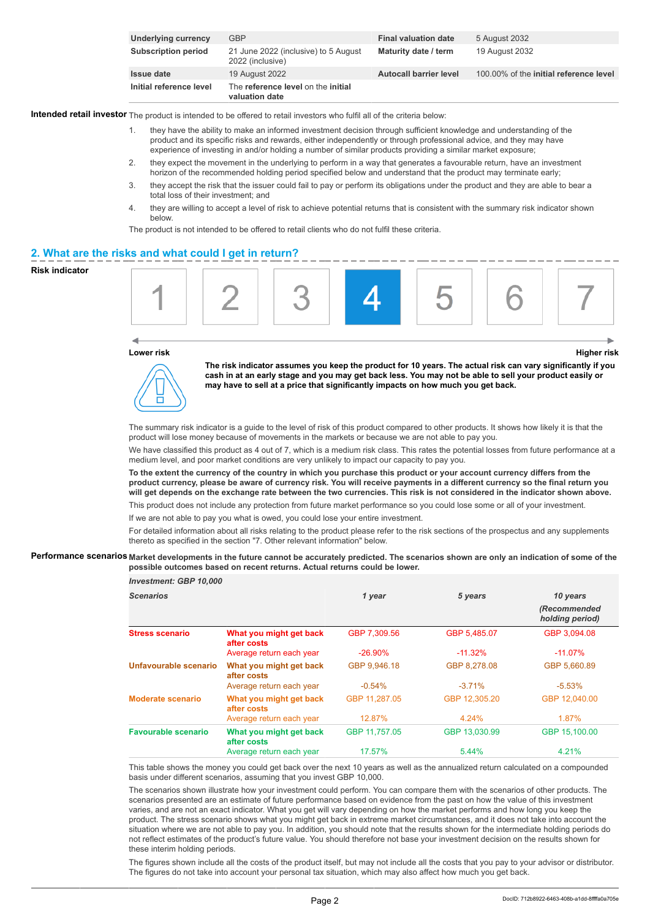| Underlying currency        | GBP                                                      | <b>Final valuation date</b>   | 5 August 2032                          |
|----------------------------|----------------------------------------------------------|-------------------------------|----------------------------------------|
| <b>Subscription period</b> | 21 June 2022 (inclusive) to 5 August<br>2022 (inclusive) | Maturity date / term          | 19 August 2032                         |
| <b>Issue date</b>          | 19 August 2022                                           | <b>Autocall barrier level</b> | 100,00% of the initial reference level |
| Initial reference level    | The reference level on the initial<br>valuation date     |                               |                                        |

**Intended retail investor** The product is intended to be offered to retail investors who fulfil all of the criteria below:

- 1. they have the ability to make an informed investment decision through sufficient knowledge and understanding of the product and its specific risks and rewards, either independently or through professional advice, and they may have experience of investing in and/or holding a number of similar products providing a similar market exposure;
- 2. they expect the movement in the underlying to perform in a way that generates a favourable return, have an investment horizon of the recommended holding period specified below and understand that the product may terminate early;
- 3. they accept the risk that the issuer could fail to pay or perform its obligations under the product and they are able to bear a total loss of their investment; and
- 4. they are willing to accept a level of risk to achieve potential returns that is consistent with the summary risk indicator shown below.

The product is not intended to be offered to retail clients who do not fulfil these criteria.

#### **2. What are the risks and what could I get in return?**

#### **Risk indicator**



#### **Lower risk Higher risk**



**The risk indicator assumes you keep the product for 10 years. The actual risk can vary significantly if you cash in at an early stage and you may get back less. You may not be able to sell your product easily or may have to sell at a price that significantly impacts on how much you get back.**

The summary risk indicator is a guide to the level of risk of this product compared to other products. It shows how likely it is that the product will lose money because of movements in the markets or because we are not able to pay you.

We have classified this product as 4 out of 7, which is a medium risk class. This rates the potential losses from future performance at a medium level, and poor market conditions are very unlikely to impact our capacity to pay you.

**To the extent the currency of the country in which you purchase this product or your account currency differs from the product currency, please be aware of currency risk. You will receive payments in a different currency so the final return you will get depends on the exchange rate between the two currencies. This risk is not considered in the indicator shown above.**

This product does not include any protection from future market performance so you could lose some or all of your investment.

If we are not able to pay you what is owed, you could lose your entire investment.

For detailed information about all risks relating to the product please refer to the risk sections of the prospectus and any supplements thereto as specified in the section "7. Other relevant information" below.

#### **Performance scenarios Market developments in the future cannot be accurately predicted. The scenarios shown are only an indication of some of the possible outcomes based on recent returns. Actual returns could be lower.**

| <b>Investment: GBP 10,000</b> |                                        |               |               |                          |
|-------------------------------|----------------------------------------|---------------|---------------|--------------------------|
| <b>Scenarios</b>              |                                        | 1 year        | 5 years       | 10 years<br>(Recommended |
|                               |                                        |               |               | holding period)          |
| <b>Stress scenario</b>        | What you might get back<br>after costs | GBP 7,309.56  | GBP 5,485.07  | GBP 3,094.08             |
|                               | Average return each year               | $-26.90\%$    | $-11.32\%$    | $-11.07\%$               |
| Unfavourable scenario         | What you might get back<br>after costs | GBP 9.946.18  | GBP 8.278.08  | GBP 5,660.89             |
|                               | Average return each year               | $-0.54%$      | $-3.71%$      | $-5.53\%$                |
| Moderate scenario             | What you might get back<br>after costs | GBP 11,287.05 | GBP 12.305.20 | GBP 12.040.00            |
|                               | Average return each year               | 12.87%        | 4.24%         | 1.87%                    |
| <b>Favourable scenario</b>    | What you might get back<br>after costs | GBP 11,757.05 | GBP 13,030.99 | GBP 15,100.00            |
|                               | Average return each year               | 17.57%        | 5.44%         | 4.21%                    |

This table shows the money you could get back over the next 10 years as well as the annualized return calculated on a compounded basis under different scenarios, assuming that you invest GBP 10,000.

The scenarios shown illustrate how your investment could perform. You can compare them with the scenarios of other products. The scenarios presented are an estimate of future performance based on evidence from the past on how the value of this investment varies, and are not an exact indicator. What you get will vary depending on how the market performs and how long you keep the product. The stress scenario shows what you might get back in extreme market circumstances, and it does not take into account the situation where we are not able to pay you. In addition, you should note that the results shown for the intermediate holding periods do not reflect estimates of the product's future value. You should therefore not base your investment decision on the results shown for these interim holding periods.

The figures shown include all the costs of the product itself, but may not include all the costs that you pay to your advisor or distributor. The figures do not take into account your personal tax situation, which may also affect how much you get back.